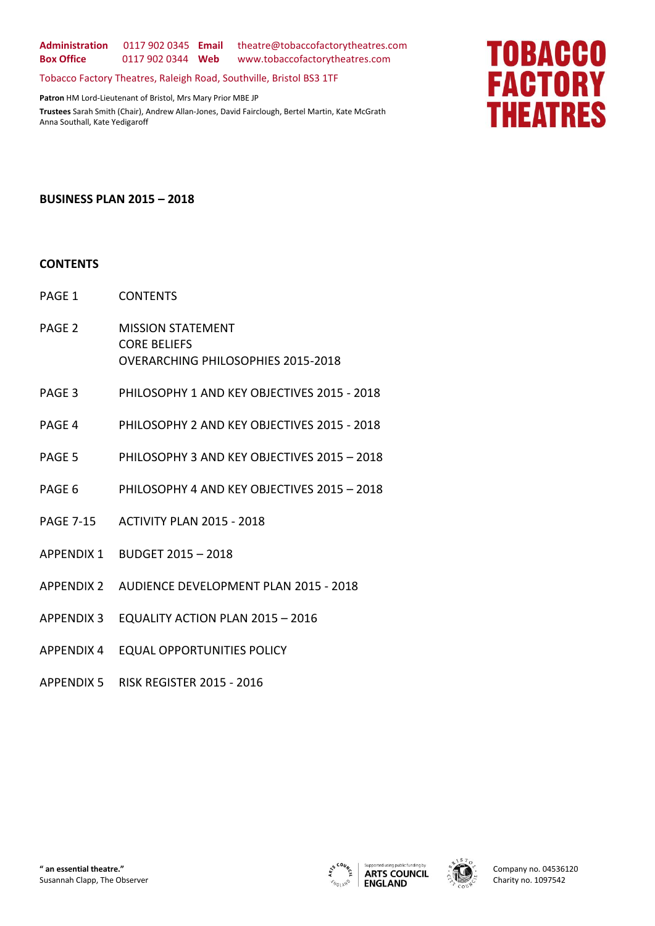**Administration** 0117 902 0345 **Email** theatre@tobaccofactorytheatres.com **Box Office** 0117 902 0344 **Web** www.tobaccofactorytheatres.com

Tobacco Factory Theatres, Raleigh Road, Southville, Bristol BS3 1TF

**Patron** HM Lord-Lieutenant of Bristol, Mrs Mary Prior MBE JP **Trustees** Sarah Smith (Chair), Andrew Allan-Jones, David Fairclough, Bertel Martin, Kate McGrath Anna Southall, Kate Yedigaroff

# **TOBACCO FACTORY THEATRES**

#### **BUSINESS PLAN 2015 – 2018**

#### **CONTENTS**

- PAGE 1 CONTENTS
- PAGE 2 MISSION STATEMENT CORE BELIEFS OVERARCHING PHILOSOPHIES 2015-2018
- PAGE 3 PHILOSOPHY 1 AND KEY OBJECTIVES 2015 2018
- PAGE 4 PHILOSOPHY 2 AND KEY OBJECTIVES 2015 2018
- PAGE 5 PHILOSOPHY 3 AND KEY OBJECTIVES 2015 2018
- PAGE 6 PHILOSOPHY 4 AND KEY OBJECTIVES 2015 2018
- PAGE 7-15 ACTIVITY PLAN 2015 2018
- APPENDIX 1 BUDGET 2015 2018
- APPENDIX 2 AUDIENCE DEVELOPMENT PLAN 2015 2018
- APPENDIX 3 EQUALITY ACTION PLAN 2015 2016
- APPENDIX 4 EQUAL OPPORTUNITIES POLICY
- APPENDIX 5 RISK REGISTER 2015 2016



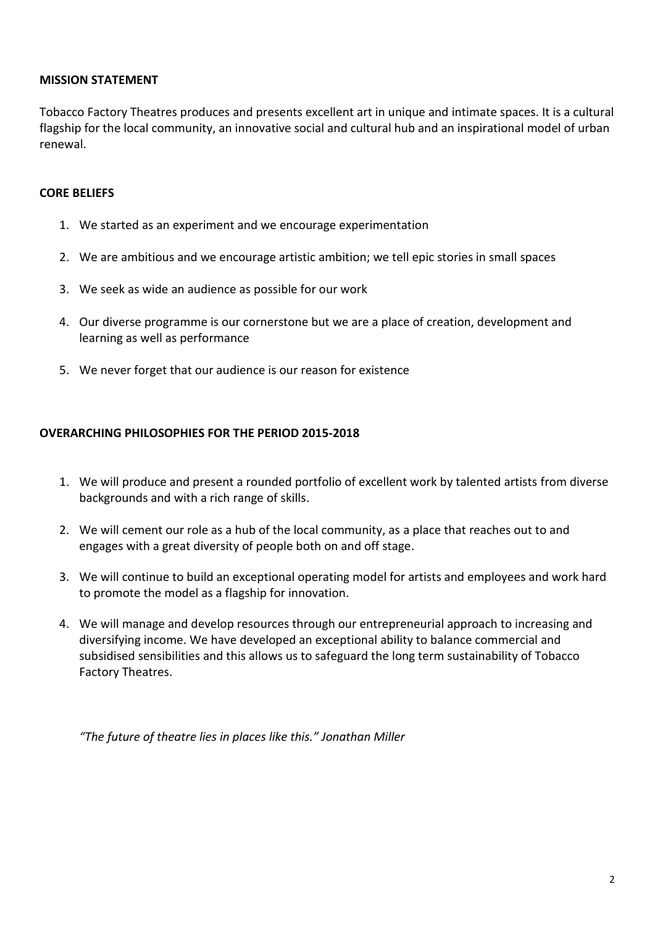## **MISSION STATEMENT**

Tobacco Factory Theatres produces and presents excellent art in unique and intimate spaces. It is a cultural flagship for the local community, an innovative social and cultural hub and an inspirational model of urban renewal.

## **CORE BELIEFS**

- 1. We started as an experiment and we encourage experimentation
- 2. We are ambitious and we encourage artistic ambition; we tell epic stories in small spaces
- 3. We seek as wide an audience as possible for our work
- 4. Our diverse programme is our cornerstone but we are a place of creation, development and learning as well as performance
- 5. We never forget that our audience is our reason for existence

# **OVERARCHING PHILOSOPHIES FOR THE PERIOD 2015-2018**

- 1. We will produce and present a rounded portfolio of excellent work by talented artists from diverse backgrounds and with a rich range of skills.
- 2. We will cement our role as a hub of the local community, as a place that reaches out to and engages with a great diversity of people both on and off stage.
- 3. We will continue to build an exceptional operating model for artists and employees and work hard to promote the model as a flagship for innovation.
- 4. We will manage and develop resources through our entrepreneurial approach to increasing and diversifying income. We have developed an exceptional ability to balance commercial and subsidised sensibilities and this allows us to safeguard the long term sustainability of Tobacco Factory Theatres.

*"The future of theatre lies in places like this." Jonathan Miller*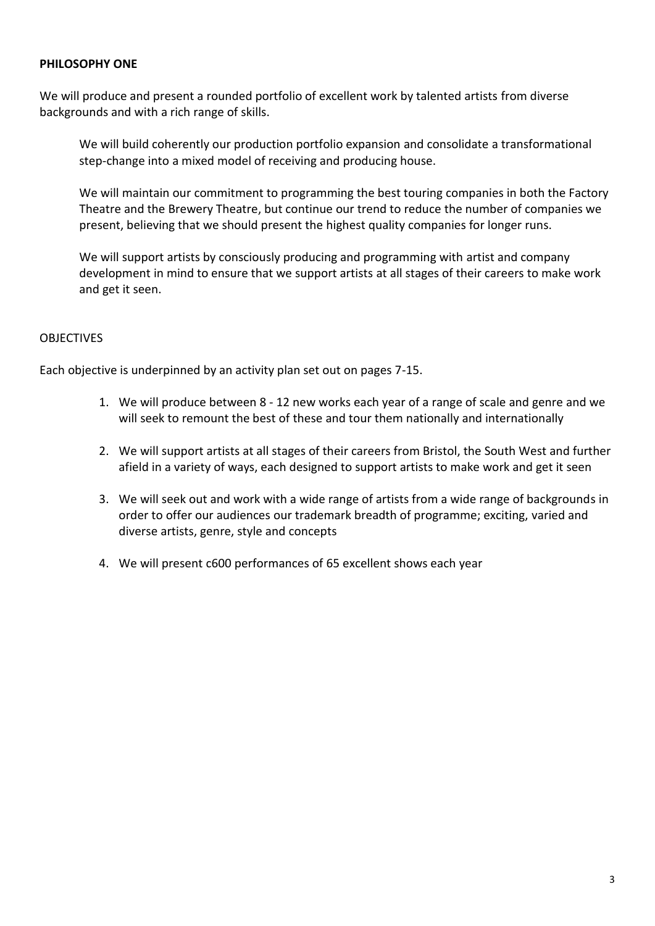#### **PHILOSOPHY ONE**

We will produce and present a rounded portfolio of excellent work by talented artists from diverse backgrounds and with a rich range of skills.

We will build coherently our production portfolio expansion and consolidate a transformational step-change into a mixed model of receiving and producing house.

We will maintain our commitment to programming the best touring companies in both the Factory Theatre and the Brewery Theatre, but continue our trend to reduce the number of companies we present, believing that we should present the highest quality companies for longer runs.

We will support artists by consciously producing and programming with artist and company development in mind to ensure that we support artists at all stages of their careers to make work and get it seen.

#### **OBJECTIVES**

- 1. We will produce between 8 12 new works each year of a range of scale and genre and we will seek to remount the best of these and tour them nationally and internationally
- 2. We will support artists at all stages of their careers from Bristol, the South West and further afield in a variety of ways, each designed to support artists to make work and get it seen
- 3. We will seek out and work with a wide range of artists from a wide range of backgrounds in order to offer our audiences our trademark breadth of programme; exciting, varied and diverse artists, genre, style and concepts
- 4. We will present c600 performances of 65 excellent shows each year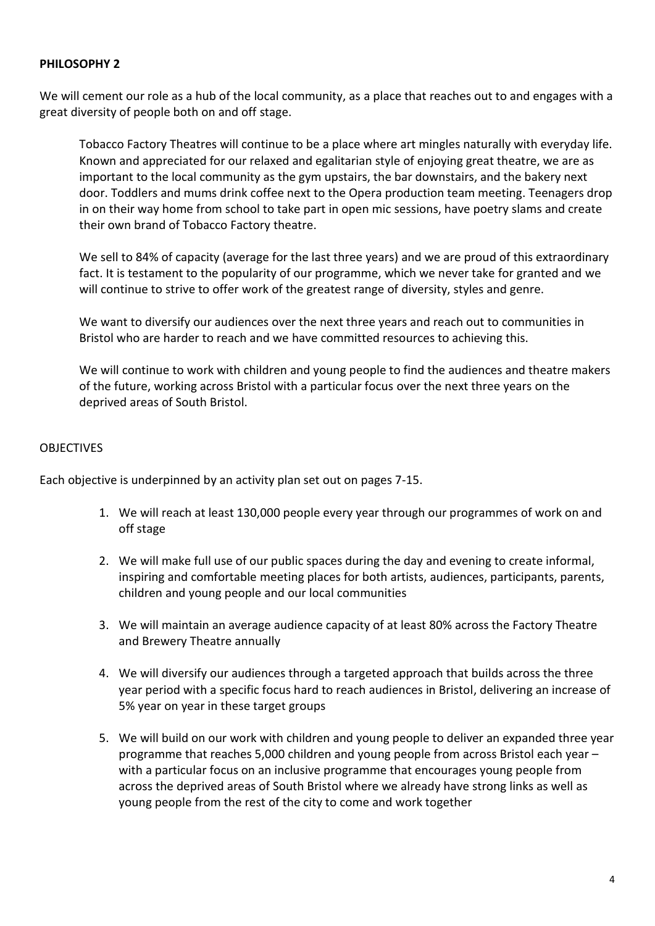# **PHILOSOPHY 2**

We will cement our role as a hub of the local community, as a place that reaches out to and engages with a great diversity of people both on and off stage.

Tobacco Factory Theatres will continue to be a place where art mingles naturally with everyday life. Known and appreciated for our relaxed and egalitarian style of enjoying great theatre, we are as important to the local community as the gym upstairs, the bar downstairs, and the bakery next door. Toddlers and mums drink coffee next to the Opera production team meeting. Teenagers drop in on their way home from school to take part in open mic sessions, have poetry slams and create their own brand of Tobacco Factory theatre.

We sell to 84% of capacity (average for the last three years) and we are proud of this extraordinary fact. It is testament to the popularity of our programme, which we never take for granted and we will continue to strive to offer work of the greatest range of diversity, styles and genre.

We want to diversify our audiences over the next three years and reach out to communities in Bristol who are harder to reach and we have committed resources to achieving this.

We will continue to work with children and young people to find the audiences and theatre makers of the future, working across Bristol with a particular focus over the next three years on the deprived areas of South Bristol.

# **OBJECTIVES**

- 1. We will reach at least 130,000 people every year through our programmes of work on and off stage
- 2. We will make full use of our public spaces during the day and evening to create informal, inspiring and comfortable meeting places for both artists, audiences, participants, parents, children and young people and our local communities
- 3. We will maintain an average audience capacity of at least 80% across the Factory Theatre and Brewery Theatre annually
- 4. We will diversify our audiences through a targeted approach that builds across the three year period with a specific focus hard to reach audiences in Bristol, delivering an increase of 5% year on year in these target groups
- 5. We will build on our work with children and young people to deliver an expanded three year programme that reaches 5,000 children and young people from across Bristol each year – with a particular focus on an inclusive programme that encourages young people from across the deprived areas of South Bristol where we already have strong links as well as young people from the rest of the city to come and work together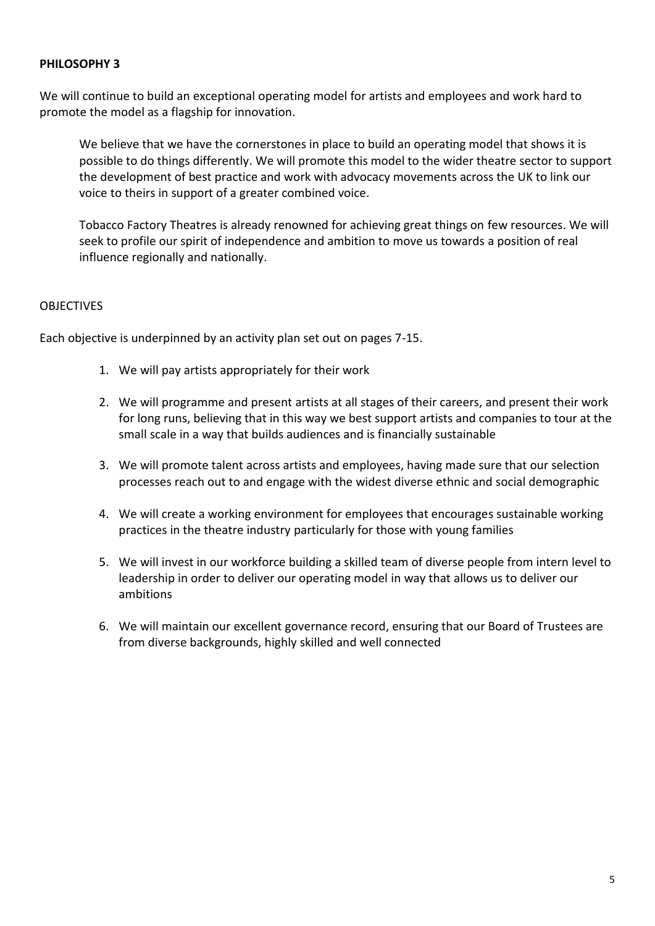#### **PHILOSOPHY 3**

We will continue to build an exceptional operating model for artists and employees and work hard to promote the model as a flagship for innovation.

We believe that we have the cornerstones in place to build an operating model that shows it is possible to do things differently. We will promote this model to the wider theatre sector to support the development of best practice and work with advocacy movements across the UK to link our voice to theirs in support of a greater combined voice.

Tobacco Factory Theatres is already renowned for achieving great things on few resources. We will seek to profile our spirit of independence and ambition to move us towards a position of real influence regionally and nationally.

# **OBJECTIVES**

- 1. We will pay artists appropriately for their work
- 2. We will programme and present artists at all stages of their careers, and present their work for long runs, believing that in this way we best support artists and companies to tour at the small scale in a way that builds audiences and is financially sustainable
- 3. We will promote talent across artists and employees, having made sure that our selection processes reach out to and engage with the widest diverse ethnic and social demographic
- 4. We will create a working environment for employees that encourages sustainable working practices in the theatre industry particularly for those with young families
- 5. We will invest in our workforce building a skilled team of diverse people from intern level to leadership in order to deliver our operating model in way that allows us to deliver our ambitions
- 6. We will maintain our excellent governance record, ensuring that our Board of Trustees are from diverse backgrounds, highly skilled and well connected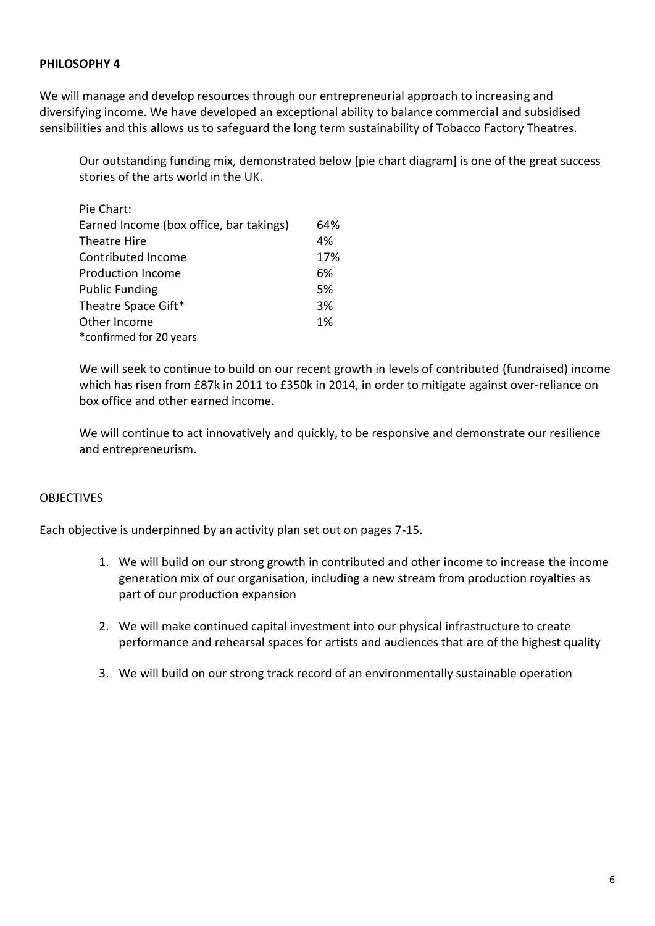### **PHILOSOPHY 4**

We will manage and develop resources through our entrepreneurial approach to increasing and diversifying income. We have developed an exceptional ability to balance commercial and subsidised sensibilities and this allows us to safeguard the long term sustainability of Tobacco Factory Theatres.

Our outstanding funding mix, demonstrated below [pie chart diagram] is one of the great success stories of the arts world in the UK.

| Pie Chart:                              |     |
|-----------------------------------------|-----|
| Earned Income (box office, bar takings) | 64% |
| Theatre Hire                            | 4%  |
| Contributed Income                      | 17% |
| <b>Production Income</b>                | 6%  |
| <b>Public Funding</b>                   | 5%  |
| Theatre Space Gift*                     | 3%  |
| Other Income                            | 1%  |
| *confirmed for 20 years                 |     |

We will seek to continue to build on our recent growth in levels of contributed (fundraised) income which has risen from £87k in 2011 to £350k in 2014, in order to mitigate against over-reliance on box office and other earned income.

We will continue to act innovatively and quickly, to be responsive and demonstrate our resilience and entrepreneurism.

# **OBJECTIVES**

- 1. We will build on our strong growth in contributed and other income to increase the income generation mix of our organisation, including a new stream from production royalties as part of our production expansion
- 2. We will make continued capital investment into our physical infrastructure to create performance and rehearsal spaces for artists and audiences that are of the highest quality
- 3. We will build on our strong track record of an environmentally sustainable operation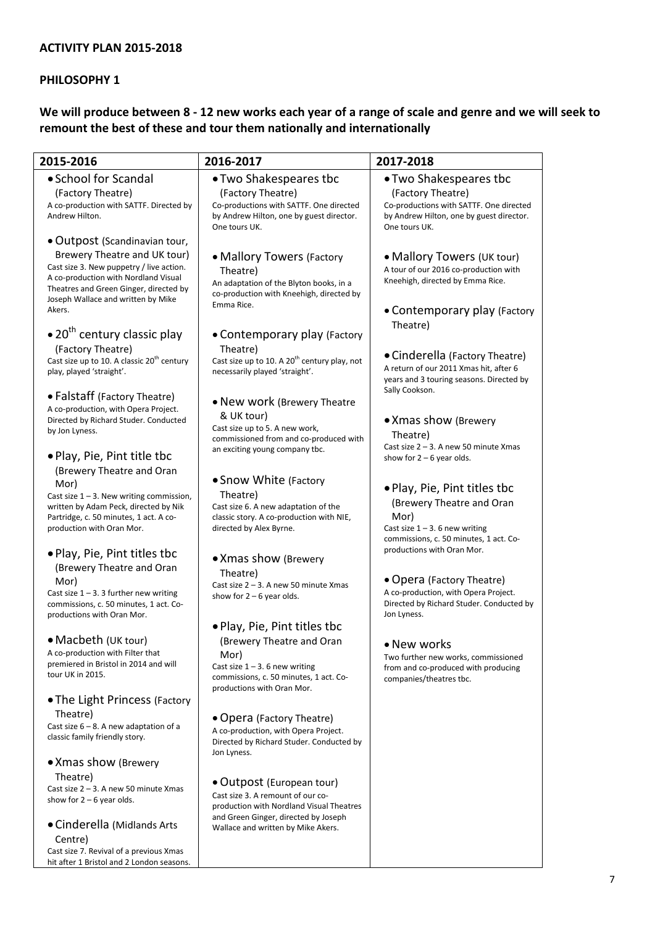# **PHILOSOPHY 1**

# **We will produce between 8 - 12 new works each year of a range of scale and genre and we will seek to remount the best of these and tour them nationally and internationally**

| 2015-2016                                                                                                                                                                                                  | 2016-2017                                                                                                                                                                                | 2017-2018                                                                                                                                        |
|------------------------------------------------------------------------------------------------------------------------------------------------------------------------------------------------------------|------------------------------------------------------------------------------------------------------------------------------------------------------------------------------------------|--------------------------------------------------------------------------------------------------------------------------------------------------|
| • School for Scandal                                                                                                                                                                                       | • Two Shakespeares tbc                                                                                                                                                                   | • Two Shakespeares tbc                                                                                                                           |
| (Factory Theatre)<br>A co-production with SATTF. Directed by<br>Andrew Hilton.                                                                                                                             | (Factory Theatre)<br>Co-productions with SATTF. One directed<br>by Andrew Hilton, one by guest director.<br>One tours UK.                                                                | (Factory Theatre)<br>Co-productions with SATTF. One directed<br>by Andrew Hilton, one by guest director.<br>One tours UK.                        |
| • Outpost (Scandinavian tour,                                                                                                                                                                              |                                                                                                                                                                                          |                                                                                                                                                  |
| Brewery Theatre and UK tour)<br>Cast size 3. New puppetry / live action.<br>A co-production with Nordland Visual<br>Theatres and Green Ginger, directed by<br>Joseph Wallace and written by Mike<br>Akers. | • Mallory Towers (Factory<br>Theatre)<br>An adaptation of the Blyton books, in a<br>co-production with Kneehigh, directed by<br>Emma Rice.                                               | • Mallory Towers (UK tour)<br>A tour of our 2016 co-production with<br>Kneehigh, directed by Emma Rice.<br>• Contemporary play (Factory          |
| $\bullet$ 20 <sup>th</sup> century classic play                                                                                                                                                            |                                                                                                                                                                                          | Theatre)                                                                                                                                         |
| (Factory Theatre)<br>Cast size up to 10. A classic 20 <sup>th</sup> century<br>play, played 'straight'.                                                                                                    | • Contemporary play (Factory<br>Theatre)<br>Cast size up to 10. A 20 <sup>th</sup> century play, not<br>necessarily played 'straight'.                                                   | • Cinderella (Factory Theatre)<br>A return of our 2011 Xmas hit, after 6<br>years and 3 touring seasons. Directed by<br>Sally Cookson.           |
| • Falstaff (Factory Theatre)<br>A co-production, with Opera Project.<br>Directed by Richard Studer. Conducted<br>by Jon Lyness.<br>. Play, Pie, Pint title tbc                                             | • New work (Brewery Theatre<br>& UK tour)<br>Cast size up to 5. A new work,<br>commissioned from and co-produced with<br>an exciting young company tbc.                                  | • Xmas show (Brewery<br>Theatre)<br>Cast size 2 - 3. A new 50 minute Xmas<br>show for $2 - 6$ year olds.                                         |
| (Brewery Theatre and Oran<br>Mor)<br>Cast size $1 - 3$ . New writing commission,<br>written by Adam Peck, directed by Nik<br>Partridge, c. 50 minutes, 1 act. A co-<br>production with Oran Mor.           | • Snow White (Factory<br>Theatre)<br>Cast size 6. A new adaptation of the<br>classic story. A co-production with NIE,<br>directed by Alex Byrne.                                         | • Play, Pie, Pint titles tbc<br>(Brewery Theatre and Oran<br>Mor)<br>Cast size $1 - 3$ . 6 new writing<br>commissions, c. 50 minutes, 1 act. Co- |
| . Play, Pie, Pint titles tbc<br>(Brewery Theatre and Oran<br>Mor)<br>Cast size $1 - 3$ . 3 further new writing<br>commissions, c. 50 minutes, 1 act. Co-                                                   | • Xmas show (Brewery<br>Theatre)<br>Cast size 2 - 3. A new 50 minute Xmas<br>show for $2 - 6$ year olds.                                                                                 | productions with Oran Mor.<br>• Opera (Factory Theatre)<br>A co-production, with Opera Project.<br>Directed by Richard Studer. Conducted by      |
| productions with Oran Mor.                                                                                                                                                                                 | • Play, Pie, Pint titles tbc                                                                                                                                                             | Jon Lyness.                                                                                                                                      |
| • Macbeth (UK tour)<br>A co-production with Filter that<br>premiered in Bristol in 2014 and will<br>tour UK in 2015.<br>. The Light Princess (Factory                                                      | (Brewery Theatre and Oran<br>Mor)<br>Cast size $1 - 3$ . 6 new writing<br>commissions, c. 50 minutes, 1 act. Co-<br>productions with Oran Mor.                                           | • New works<br>Two further new works, commissioned<br>from and co-produced with producing<br>companies/theatres tbc.                             |
| Theatre)<br>Cast size $6 - 8$ . A new adaptation of a<br>classic family friendly story.                                                                                                                    | • Opera (Factory Theatre)<br>A co-production, with Opera Project.<br>Directed by Richard Studer. Conducted by<br>Jon Lyness.                                                             |                                                                                                                                                  |
| • Xmas show (Brewery<br>Theatre)<br>Cast size 2 - 3. A new 50 minute Xmas<br>show for $2 - 6$ year olds.<br>• Cinderella (Midlands Arts                                                                    | • Outpost (European tour)<br>Cast size 3. A remount of our co-<br>production with Nordland Visual Theatres<br>and Green Ginger, directed by Joseph<br>Wallace and written by Mike Akers. |                                                                                                                                                  |
| Centre)<br>Cast size 7. Revival of a previous Xmas<br>hit after 1 Bristol and 2 London seasons.                                                                                                            |                                                                                                                                                                                          |                                                                                                                                                  |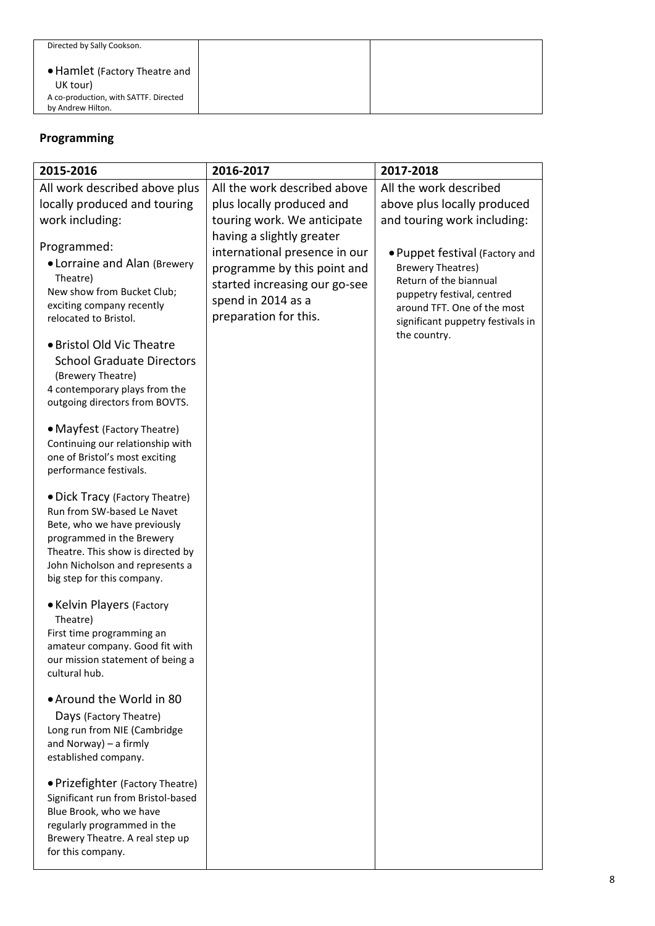| Directed by Sally Cookson.                                                                              |  |
|---------------------------------------------------------------------------------------------------------|--|
| • Hamlet (Factory Theatre and<br>UK tour)<br>A co-production, with SATTF. Directed<br>by Andrew Hilton. |  |

# **Programming**

| 2015-2016                                                                                                                                                                                                                       | 2016-2017                                                                                                                                                                 | 2017-2018                                                                                                                                                                              |
|---------------------------------------------------------------------------------------------------------------------------------------------------------------------------------------------------------------------------------|---------------------------------------------------------------------------------------------------------------------------------------------------------------------------|----------------------------------------------------------------------------------------------------------------------------------------------------------------------------------------|
| All work described above plus                                                                                                                                                                                                   | All the work described above                                                                                                                                              | All the work described                                                                                                                                                                 |
| locally produced and touring                                                                                                                                                                                                    | plus locally produced and                                                                                                                                                 | above plus locally produced                                                                                                                                                            |
| work including:                                                                                                                                                                                                                 | touring work. We anticipate                                                                                                                                               | and touring work including:                                                                                                                                                            |
| Programmed:<br>• Lorraine and Alan (Brewery<br>Theatre)<br>New show from Bucket Club;<br>exciting company recently<br>relocated to Bristol.                                                                                     | having a slightly greater<br>international presence in our<br>programme by this point and<br>started increasing our go-see<br>spend in 2014 as a<br>preparation for this. | . Puppet festival (Factory and<br><b>Brewery Theatres)</b><br>Return of the biannual<br>puppetry festival, centred<br>around TFT. One of the most<br>significant puppetry festivals in |
| • Bristol Old Vic Theatre<br><b>School Graduate Directors</b><br>(Brewery Theatre)<br>4 contemporary plays from the<br>outgoing directors from BOVTS.                                                                           |                                                                                                                                                                           | the country.                                                                                                                                                                           |
| • Mayfest (Factory Theatre)<br>Continuing our relationship with<br>one of Bristol's most exciting<br>performance festivals.                                                                                                     |                                                                                                                                                                           |                                                                                                                                                                                        |
| • Dick Tracy (Factory Theatre)<br>Run from SW-based Le Navet<br>Bete, who we have previously<br>programmed in the Brewery<br>Theatre. This show is directed by<br>John Nicholson and represents a<br>big step for this company. |                                                                                                                                                                           |                                                                                                                                                                                        |
| • Kelvin Players (Factory<br>Theatre)<br>First time programming an<br>amateur company. Good fit with<br>our mission statement of being a<br>cultural hub.                                                                       |                                                                                                                                                                           |                                                                                                                                                                                        |
| • Around the World in 80<br>Days (Factory Theatre)<br>Long run from NIE (Cambridge<br>and Norway) - a firmly<br>established company.                                                                                            |                                                                                                                                                                           |                                                                                                                                                                                        |
| • Prizefighter (Factory Theatre)<br>Significant run from Bristol-based<br>Blue Brook, who we have<br>regularly programmed in the<br>Brewery Theatre. A real step up<br>for this company.                                        |                                                                                                                                                                           |                                                                                                                                                                                        |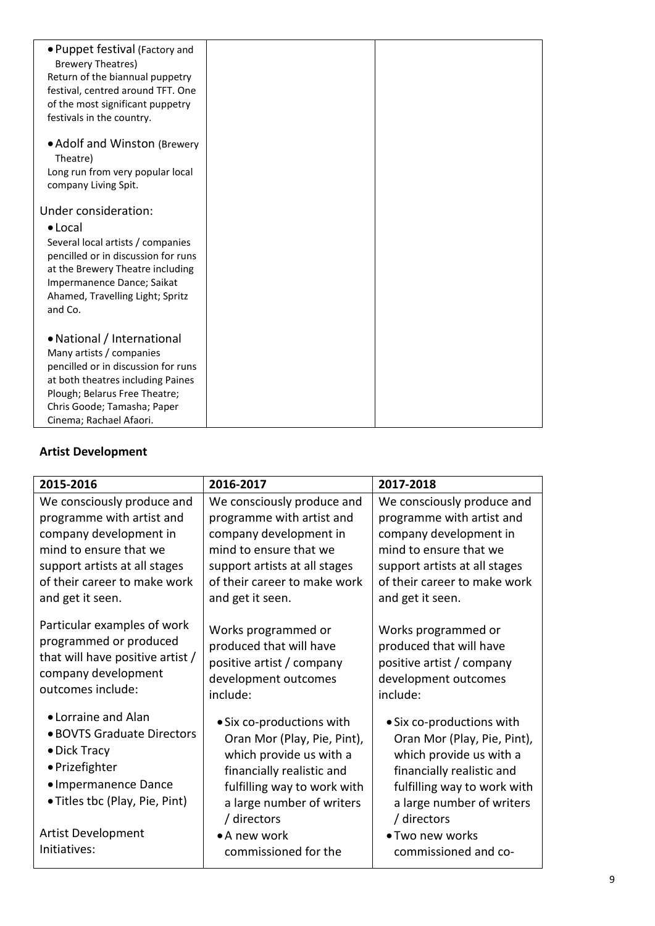| • Puppet festival (Factory and      |  |
|-------------------------------------|--|
| <b>Brewery Theatres)</b>            |  |
| Return of the biannual puppetry     |  |
| festival, centred around TFT. One   |  |
| of the most significant puppetry    |  |
| festivals in the country.           |  |
|                                     |  |
| • Adolf and Winston (Brewery        |  |
| Theatre)                            |  |
| Long run from very popular local    |  |
| company Living Spit.                |  |
|                                     |  |
| Under consideration:                |  |
| $\bullet$ Local                     |  |
| Several local artists / companies   |  |
| pencilled or in discussion for runs |  |
| at the Brewery Theatre including    |  |
| Impermanence Dance; Saikat          |  |
| Ahamed, Travelling Light; Spritz    |  |
| and Co.                             |  |
|                                     |  |
| • National / International          |  |
| Many artists / companies            |  |
| pencilled or in discussion for runs |  |
| at both theatres including Paines   |  |
| Plough; Belarus Free Theatre;       |  |
| Chris Goode; Tamasha; Paper         |  |
| Cinema; Rachael Afaori.             |  |

# **Artist Development**

| 2015-2016                                                                                                                                     | 2016-2017                                                                                                                                                                                   | 2017-2018                                                                                                                                                                                   |
|-----------------------------------------------------------------------------------------------------------------------------------------------|---------------------------------------------------------------------------------------------------------------------------------------------------------------------------------------------|---------------------------------------------------------------------------------------------------------------------------------------------------------------------------------------------|
| We consciously produce and                                                                                                                    | We consciously produce and                                                                                                                                                                  | We consciously produce and                                                                                                                                                                  |
| programme with artist and                                                                                                                     | programme with artist and                                                                                                                                                                   | programme with artist and                                                                                                                                                                   |
| company development in                                                                                                                        | company development in                                                                                                                                                                      | company development in                                                                                                                                                                      |
| mind to ensure that we                                                                                                                        | mind to ensure that we                                                                                                                                                                      | mind to ensure that we                                                                                                                                                                      |
| support artists at all stages                                                                                                                 | support artists at all stages                                                                                                                                                               | support artists at all stages                                                                                                                                                               |
| of their career to make work                                                                                                                  | of their career to make work                                                                                                                                                                | of their career to make work                                                                                                                                                                |
| and get it seen.                                                                                                                              | and get it seen.                                                                                                                                                                            | and get it seen.                                                                                                                                                                            |
| Particular examples of work<br>programmed or produced<br>that will have positive artist /<br>company development<br>outcomes include:         | Works programmed or<br>produced that will have<br>positive artist / company<br>development outcomes<br>include:                                                                             | Works programmed or<br>produced that will have<br>positive artist / company<br>development outcomes<br>include:                                                                             |
| • Lorraine and Alan<br>• BOVTS Graduate Directors<br>• Dick Tracy<br>· Prizefighter<br>• Impermanence Dance<br>• Titles tbc (Play, Pie, Pint) | • Six co-productions with<br>Oran Mor (Play, Pie, Pint),<br>which provide us with a<br>financially realistic and<br>fulfilling way to work with<br>a large number of writers<br>/ directors | • Six co-productions with<br>Oran Mor (Play, Pie, Pint),<br>which provide us with a<br>financially realistic and<br>fulfilling way to work with<br>a large number of writers<br>/ directors |
| Artist Development<br>Initiatives:                                                                                                            | • A new work<br>commissioned for the                                                                                                                                                        | • Two new works<br>commissioned and co-                                                                                                                                                     |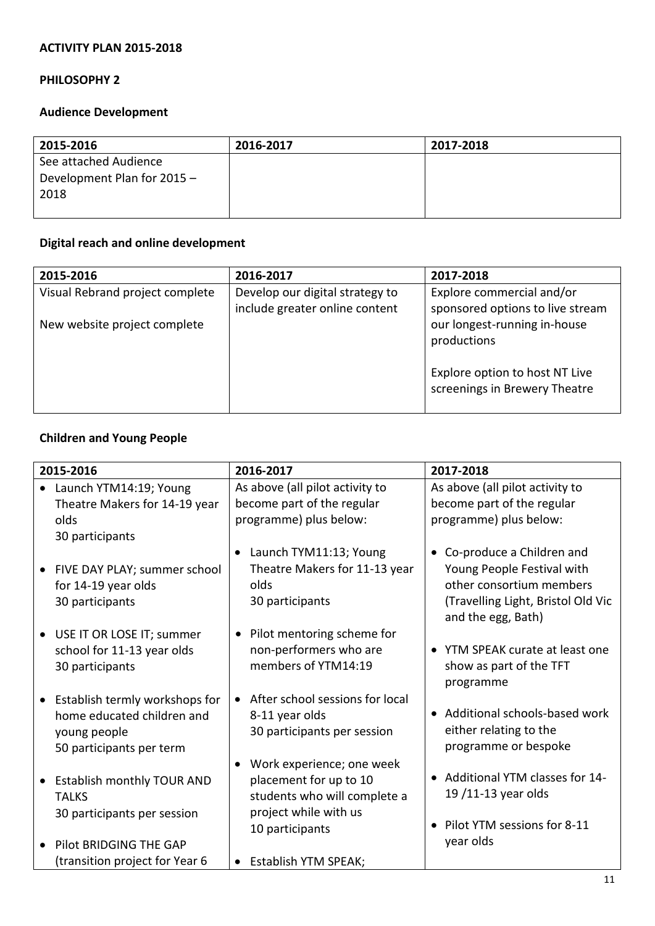# **PHILOSOPHY 2**

# **Audience Development**

| 2015-2016                   | 2016-2017 | 2017-2018 |
|-----------------------------|-----------|-----------|
| See attached Audience       |           |           |
| Development Plan for 2015 - |           |           |
| 2018                        |           |           |
|                             |           |           |

# **Digital reach and online development**

| 2015-2016                       | 2016-2017                                                         | 2017-2018                                                       |
|---------------------------------|-------------------------------------------------------------------|-----------------------------------------------------------------|
| Visual Rebrand project complete | Develop our digital strategy to<br>include greater online content | Explore commercial and/or<br>sponsored options to live stream   |
| New website project complete    |                                                                   | our longest-running in-house<br>productions                     |
|                                 |                                                                   | Explore option to host NT Live<br>screenings in Brewery Theatre |

# **Children and Young People**

| 2015-2016                      | 2016-2017                                    | 2017-2018                                |
|--------------------------------|----------------------------------------------|------------------------------------------|
| Launch YTM14:19; Young         | As above (all pilot activity to              | As above (all pilot activity to          |
| Theatre Makers for 14-19 year  | become part of the regular                   | become part of the regular               |
| olds                           | programme) plus below:                       | programme) plus below:                   |
| 30 participants                |                                              |                                          |
|                                | Launch TYM11:13; Young                       | Co-produce a Children and                |
| FIVE DAY PLAY; summer school   | Theatre Makers for 11-13 year                | Young People Festival with               |
| for 14-19 year olds            | olds                                         | other consortium members                 |
| 30 participants                | 30 participants                              | (Travelling Light, Bristol Old Vic       |
|                                |                                              | and the egg, Bath)                       |
| USE IT OR LOSE IT; summer      | Pilot mentoring scheme for<br>$\bullet$      |                                          |
| school for 11-13 year olds     | non-performers who are                       | • YTM SPEAK curate at least one          |
| 30 participants                | members of YTM14:19                          | show as part of the TFT                  |
|                                |                                              | programme                                |
| Establish termly workshops for | After school sessions for local<br>$\bullet$ |                                          |
| home educated children and     | 8-11 year olds                               | • Additional schools-based work          |
| young people                   | 30 participants per session                  | either relating to the                   |
| 50 participants per term       |                                              | programme or bespoke                     |
|                                | Work experience; one week                    |                                          |
| Establish monthly TOUR AND     | placement for up to 10                       | • Additional YTM classes for 14-         |
| <b>TALKS</b>                   | students who will complete a                 | 19/11-13 year olds                       |
| 30 participants per session    | project while with us                        |                                          |
|                                | 10 participants                              | Pilot YTM sessions for 8-11<br>$\bullet$ |
| Pilot BRIDGING THE GAP         |                                              | year olds                                |
| (transition project for Year 6 | • Establish YTM SPEAK;                       |                                          |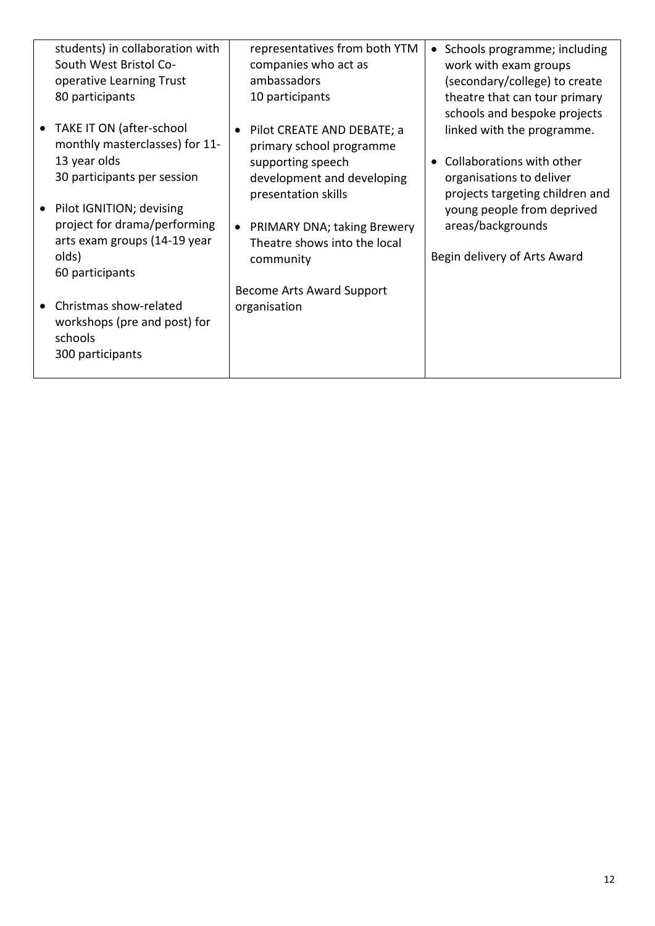| students) in collaboration with<br>South West Bristol Co-<br>operative Learning Trust<br>80 participants | representatives from both YTM<br>companies who act as<br>ambassadors<br>10 participants | Schools programme; including<br>$\bullet$<br>work with exam groups<br>(secondary/college) to create<br>theatre that can tour primary<br>schools and bespoke projects |
|----------------------------------------------------------------------------------------------------------|-----------------------------------------------------------------------------------------|----------------------------------------------------------------------------------------------------------------------------------------------------------------------|
| TAKE IT ON (after-school<br>monthly masterclasses) for 11-                                               | Pilot CREATE AND DEBATE; a<br>primary school programme                                  | linked with the programme.                                                                                                                                           |
| 13 year olds<br>30 participants per session                                                              | supporting speech<br>development and developing<br>presentation skills                  | Collaborations with other<br>$\bullet$<br>organisations to deliver<br>projects targeting children and                                                                |
| Pilot IGNITION; devising<br>project for drama/performing<br>arts exam groups (14-19 year                 | PRIMARY DNA; taking Brewery<br>$\bullet$<br>Theatre shows into the local                | young people from deprived<br>areas/backgrounds                                                                                                                      |
| olds)<br>60 participants                                                                                 | community                                                                               | Begin delivery of Arts Award                                                                                                                                         |
| Christmas show-related<br>workshops (pre and post) for<br>schools<br>300 participants                    | <b>Become Arts Award Support</b><br>organisation                                        |                                                                                                                                                                      |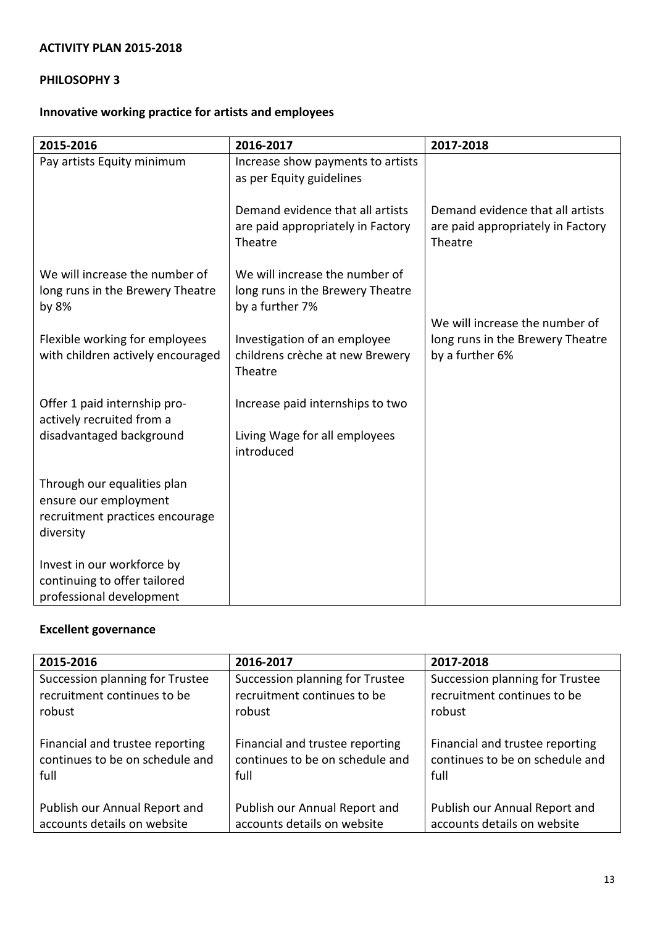# **PHILOSOPHY 3**

# **Innovative working practice for artists and employees**

| 2015-2016                                                                                            | 2016-2017                                                                             | 2017-2018                                                                        |
|------------------------------------------------------------------------------------------------------|---------------------------------------------------------------------------------------|----------------------------------------------------------------------------------|
| Pay artists Equity minimum                                                                           | Increase show payments to artists<br>as per Equity guidelines                         |                                                                                  |
|                                                                                                      | Demand evidence that all artists<br>are paid appropriately in Factory<br>Theatre      | Demand evidence that all artists<br>are paid appropriately in Factory<br>Theatre |
| We will increase the number of<br>long runs in the Brewery Theatre<br>by 8%                          | We will increase the number of<br>long runs in the Brewery Theatre<br>by a further 7% | We will increase the number of                                                   |
| Flexible working for employees<br>with children actively encouraged                                  | Investigation of an employee<br>childrens crèche at new Brewery<br>Theatre            | long runs in the Brewery Theatre<br>by a further 6%                              |
| Offer 1 paid internship pro-                                                                         | Increase paid internships to two                                                      |                                                                                  |
| actively recruited from a<br>disadvantaged background                                                | Living Wage for all employees<br>introduced                                           |                                                                                  |
| Through our equalities plan<br>ensure our employment<br>recruitment practices encourage<br>diversity |                                                                                       |                                                                                  |
| Invest in our workforce by<br>continuing to offer tailored<br>professional development               |                                                                                       |                                                                                  |

# **Excellent governance**

| 2015-2016                       | 2016-2017                       | 2017-2018                       |  |
|---------------------------------|---------------------------------|---------------------------------|--|
| Succession planning for Trustee | Succession planning for Trustee | Succession planning for Trustee |  |
| recruitment continues to be     | recruitment continues to be     | recruitment continues to be     |  |
| robust                          | robust                          | robust                          |  |
| Financial and trustee reporting | Financial and trustee reporting | Financial and trustee reporting |  |
| continues to be on schedule and | continues to be on schedule and | continues to be on schedule and |  |
| full                            | full                            | full                            |  |
| Publish our Annual Report and   | Publish our Annual Report and   | Publish our Annual Report and   |  |
| accounts details on website     | accounts details on website     | accounts details on website     |  |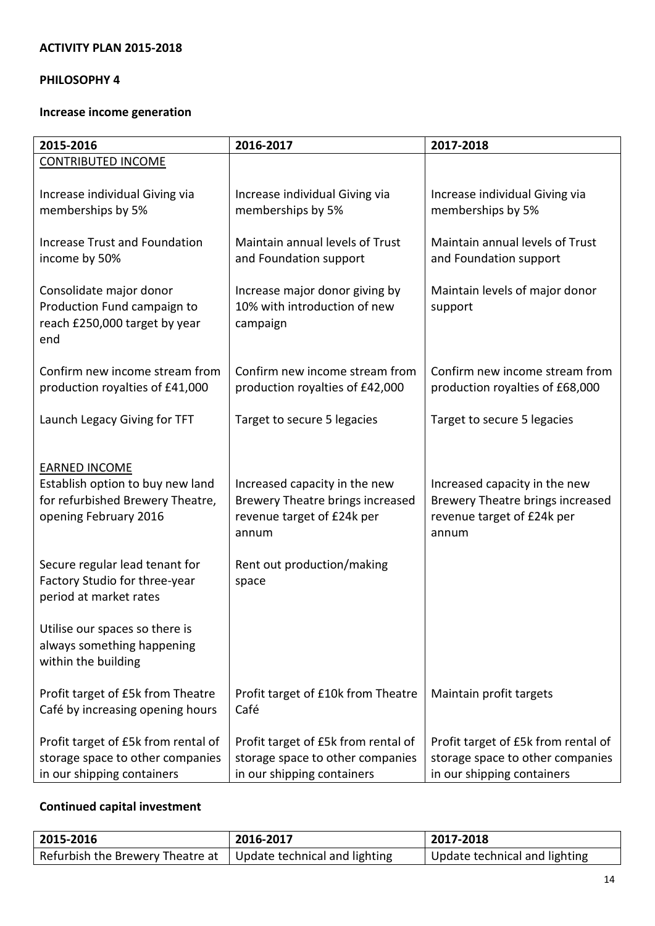# **PHILOSOPHY 4**

# **Increase income generation**

| 2015-2016                                                                                                             | 2016-2017                                                                                                | 2017-2018                                                                                                |  |
|-----------------------------------------------------------------------------------------------------------------------|----------------------------------------------------------------------------------------------------------|----------------------------------------------------------------------------------------------------------|--|
| <b>CONTRIBUTED INCOME</b>                                                                                             |                                                                                                          |                                                                                                          |  |
| Increase individual Giving via<br>memberships by 5%                                                                   | Increase individual Giving via<br>memberships by 5%                                                      | Increase individual Giving via<br>memberships by 5%                                                      |  |
| <b>Increase Trust and Foundation</b><br>income by 50%                                                                 | Maintain annual levels of Trust<br>and Foundation support                                                | Maintain annual levels of Trust<br>and Foundation support                                                |  |
| Consolidate major donor<br>Production Fund campaign to<br>reach £250,000 target by year<br>end                        | Increase major donor giving by<br>10% with introduction of new<br>campaign                               | Maintain levels of major donor<br>support                                                                |  |
| Confirm new income stream from<br>production royalties of £41,000                                                     | Confirm new income stream from<br>production royalties of £42,000                                        | Confirm new income stream from<br>production royalties of £68,000                                        |  |
| Launch Legacy Giving for TFT                                                                                          | Target to secure 5 legacies                                                                              | Target to secure 5 legacies                                                                              |  |
| <b>EARNED INCOME</b><br>Establish option to buy new land<br>for refurbished Brewery Theatre,<br>opening February 2016 | Increased capacity in the new<br>Brewery Theatre brings increased<br>revenue target of £24k per<br>annum | Increased capacity in the new<br>Brewery Theatre brings increased<br>revenue target of £24k per<br>annum |  |
| Secure regular lead tenant for<br>Factory Studio for three-year<br>period at market rates                             | Rent out production/making<br>space                                                                      |                                                                                                          |  |
| Utilise our spaces so there is<br>always something happening<br>within the building                                   |                                                                                                          |                                                                                                          |  |
| Profit target of £5k from Theatre<br>Café by increasing opening hours                                                 | Profit target of £10k from Theatre<br>Café                                                               | Maintain profit targets                                                                                  |  |
| Profit target of £5k from rental of<br>storage space to other companies<br>in our shipping containers                 | Profit target of £5k from rental of<br>storage space to other companies<br>in our shipping containers    | Profit target of £5k from rental of<br>storage space to other companies<br>in our shipping containers    |  |

# **Continued capital investment**

| 2015-2016                                                                  | 2016-2017 | 2017-2018                     |
|----------------------------------------------------------------------------|-----------|-------------------------------|
| Refurbish the Brewery Theatre at $\parallel$ Update technical and lighting |           | Update technical and lighting |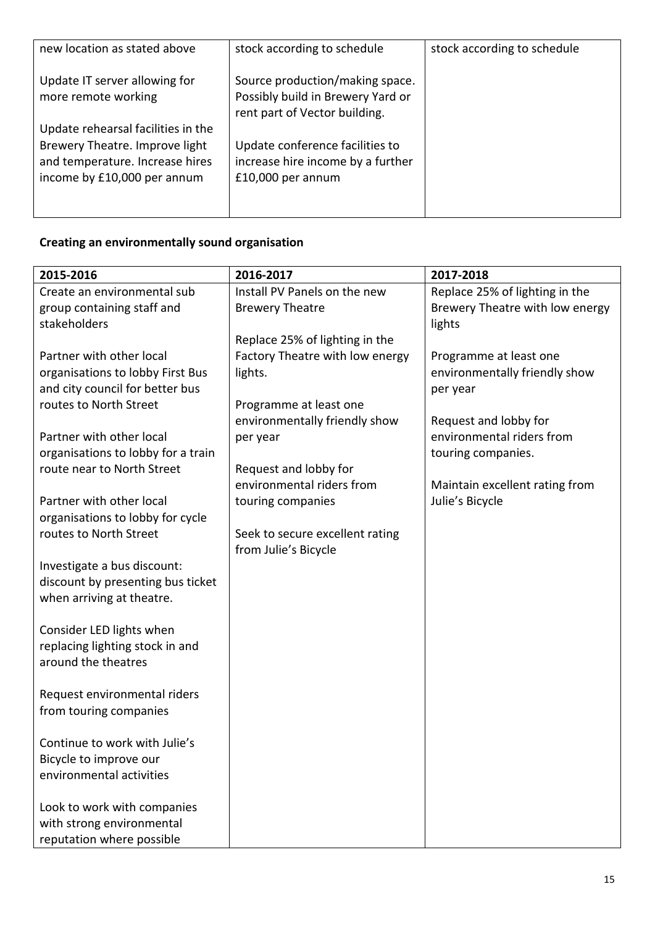| new location as stated above                                                                                                           | stock according to schedule                                                                           | stock according to schedule |
|----------------------------------------------------------------------------------------------------------------------------------------|-------------------------------------------------------------------------------------------------------|-----------------------------|
| Update IT server allowing for<br>more remote working                                                                                   | Source production/making space.<br>Possibly build in Brewery Yard or<br>rent part of Vector building. |                             |
| Update rehearsal facilities in the<br>Brewery Theatre. Improve light<br>and temperature. Increase hires<br>income by £10,000 per annum | Update conference facilities to<br>increase hire income by a further<br>$£10,000$ per annum           |                             |

# **Creating an environmentally sound organisation**

| 2015-2016                                                        | 2016-2017                                          | 2017-2018                       |
|------------------------------------------------------------------|----------------------------------------------------|---------------------------------|
| Create an environmental sub                                      | Install PV Panels on the new                       | Replace 25% of lighting in the  |
| group containing staff and                                       | <b>Brewery Theatre</b>                             | Brewery Theatre with low energy |
| stakeholders                                                     |                                                    | lights                          |
|                                                                  | Replace 25% of lighting in the                     |                                 |
| Partner with other local                                         | Factory Theatre with low energy                    | Programme at least one          |
| organisations to lobby First Bus                                 | lights.                                            | environmentally friendly show   |
| and city council for better bus                                  |                                                    | per year                        |
| routes to North Street                                           | Programme at least one                             |                                 |
|                                                                  | environmentally friendly show                      | Request and lobby for           |
| Partner with other local                                         | per year                                           | environmental riders from       |
| organisations to lobby for a train<br>route near to North Street |                                                    | touring companies.              |
|                                                                  | Request and lobby for<br>environmental riders from | Maintain excellent rating from  |
| Partner with other local                                         | touring companies                                  | Julie's Bicycle                 |
| organisations to lobby for cycle                                 |                                                    |                                 |
| routes to North Street                                           | Seek to secure excellent rating                    |                                 |
|                                                                  | from Julie's Bicycle                               |                                 |
| Investigate a bus discount:                                      |                                                    |                                 |
| discount by presenting bus ticket                                |                                                    |                                 |
| when arriving at theatre.                                        |                                                    |                                 |
|                                                                  |                                                    |                                 |
| Consider LED lights when                                         |                                                    |                                 |
| replacing lighting stock in and                                  |                                                    |                                 |
| around the theatres                                              |                                                    |                                 |
|                                                                  |                                                    |                                 |
| Request environmental riders                                     |                                                    |                                 |
| from touring companies                                           |                                                    |                                 |
|                                                                  |                                                    |                                 |
| Continue to work with Julie's                                    |                                                    |                                 |
| Bicycle to improve our                                           |                                                    |                                 |
| environmental activities                                         |                                                    |                                 |
|                                                                  |                                                    |                                 |
| Look to work with companies                                      |                                                    |                                 |
| with strong environmental                                        |                                                    |                                 |
| reputation where possible                                        |                                                    |                                 |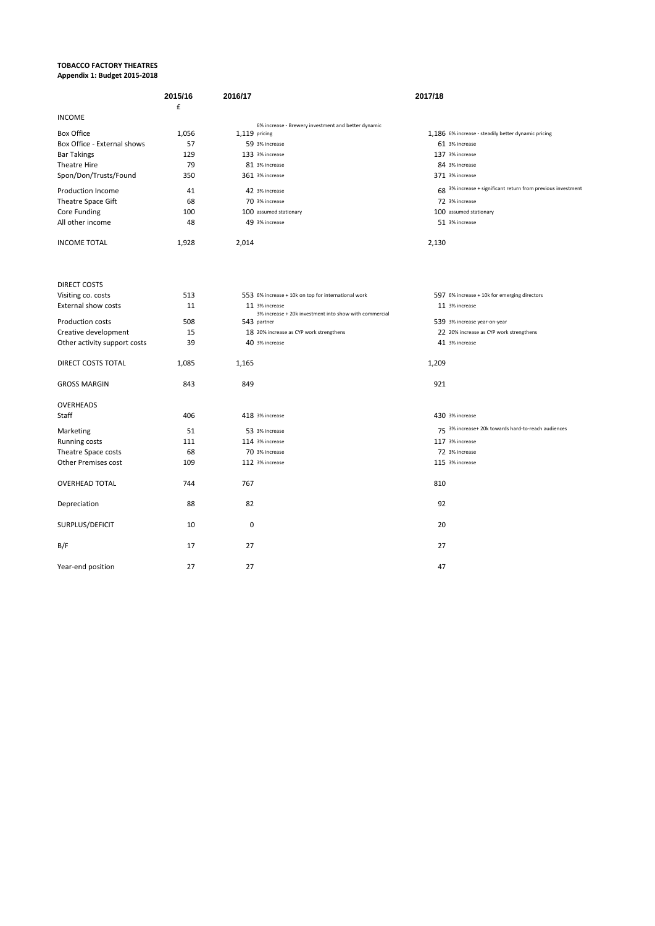#### **TOBACCO FACTORY THEATRES Appendix 1: Budget 2015-2018**

|                              | 2015/16<br>£ | 2016/17                                                                  | 2017/18                                                      |
|------------------------------|--------------|--------------------------------------------------------------------------|--------------------------------------------------------------|
| <b>INCOME</b>                |              |                                                                          |                                                              |
| <b>Box Office</b>            | 1,056        | 6% increase - Brewery investment and better dynamic<br>1,119 pricing     | 1,186 6% increase - steadily better dynamic pricing          |
| Box Office - External shows  | 57           | 59 3% increase                                                           | 61 3% increase                                               |
| <b>Bar Takings</b>           | 129          | 133 3% increase                                                          | 137 3% increase                                              |
| <b>Theatre Hire</b>          | 79           | 81 3% increase                                                           | 84 3% increase                                               |
| Spon/Don/Trusts/Found        | 350          | 361 3% increase                                                          | 371 3% increase                                              |
| Production Income            | 41           | 42 3% increase                                                           | 68 3% increase + significant return from previous investment |
| <b>Theatre Space Gift</b>    | 68           | 70 3% increase                                                           | 72 3% increase                                               |
| Core Funding                 | 100          | 100 assumed stationary                                                   | 100 assumed stationary                                       |
| All other income             | 48           | 49 3% increase                                                           | 51 3% increase                                               |
| <b>INCOME TOTAL</b>          | 1,928        | 2,014                                                                    | 2,130                                                        |
| <b>DIRECT COSTS</b>          |              |                                                                          |                                                              |
| Visiting co. costs           | 513          | 553 6% increase + 10k on top for international work                      | 597 6% increase + 10k for emerging directors                 |
| External show costs          | 11           | 11 3% increase<br>3% increase + 20k investment into show with commercial | 11 3% increase                                               |
| <b>Production costs</b>      | 508          | 543 partner                                                              | 539 3% increase year-on-year                                 |
| Creative development         | 15           | 18 20% increase as CYP work strengthens                                  | 22 20% increase as CYP work strengthens                      |
| Other activity support costs | 39           | 40 3% increase                                                           | 41 3% increase                                               |
| DIRECT COSTS TOTAL           | 1,085        | 1,165                                                                    | 1,209                                                        |
| <b>GROSS MARGIN</b>          | 843          | 849                                                                      | 921                                                          |
| <b>OVERHEADS</b>             |              |                                                                          |                                                              |
| Staff                        | 406          | 418 3% increase                                                          | 430 3% increase                                              |
| Marketing                    | 51           | 53 3% increase                                                           | 75 3% increase+ 20k towards hard-to-reach audiences          |
| <b>Running costs</b>         | 111          | 114 3% increase                                                          | 117 3% increase                                              |
| Theatre Space costs          | 68           | 70 3% increase                                                           | 72 3% increase                                               |
| Other Premises cost          | 109          | 112 3% increase                                                          | 115 3% increase                                              |
| <b>OVERHEAD TOTAL</b>        | 744          | 767                                                                      | 810                                                          |
| Depreciation                 | 88           | 82                                                                       | 92                                                           |
| SURPLUS/DEFICIT              | 10           | $\mathbf 0$                                                              | 20                                                           |
| B/F                          | 17           | 27                                                                       | 27                                                           |
| Year-end position            | 27           | 27                                                                       | 47                                                           |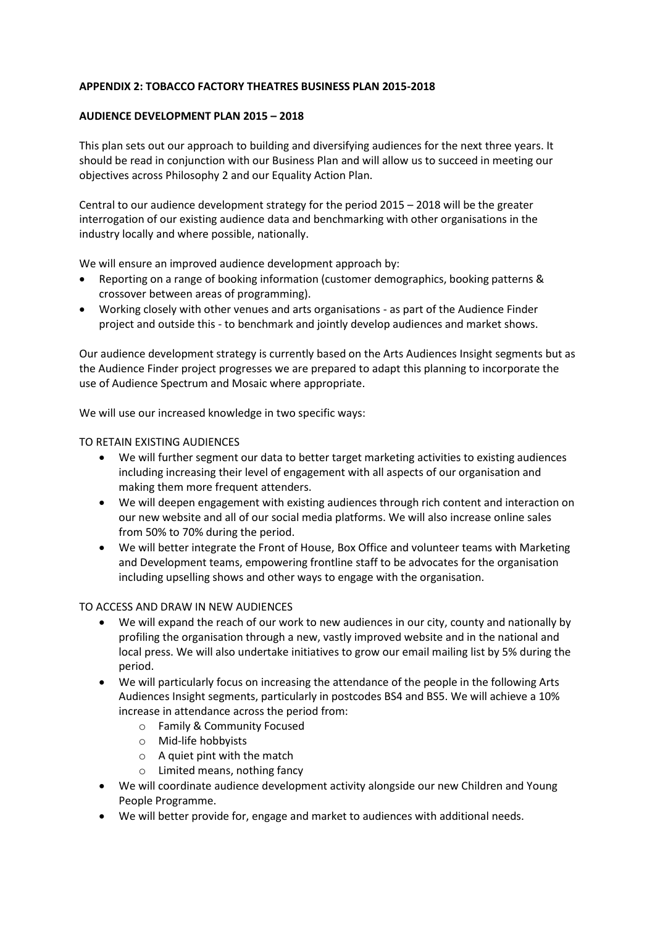#### **APPENDIX 2: TOBACCO FACTORY THEATRES BUSINESS PLAN 2015-2018**

#### **AUDIENCE DEVELOPMENT PLAN 2015 – 2018**

This plan sets out our approach to building and diversifying audiences for the next three years. It should be read in conjunction with our Business Plan and will allow us to succeed in meeting our objectives across Philosophy 2 and our Equality Action Plan.

Central to our audience development strategy for the period 2015 – 2018 will be the greater interrogation of our existing audience data and benchmarking with other organisations in the industry locally and where possible, nationally.

We will ensure an improved audience development approach by:

- Reporting on a range of booking information (customer demographics, booking patterns & crossover between areas of programming).
- Working closely with other venues and arts organisations as part of the Audience Finder project and outside this - to benchmark and jointly develop audiences and market shows.

Our audience development strategy is currently based on the Arts Audiences Insight segments but as the Audience Finder project progresses we are prepared to adapt this planning to incorporate the use of Audience Spectrum and Mosaic where appropriate.

We will use our increased knowledge in two specific ways:

#### TO RETAIN EXISTING AUDIENCES

- We will further segment our data to better target marketing activities to existing audiences including increasing their level of engagement with all aspects of our organisation and making them more frequent attenders.
- We will deepen engagement with existing audiences through rich content and interaction on our new website and all of our social media platforms. We will also increase online sales from 50% to 70% during the period.
- We will better integrate the Front of House, Box Office and volunteer teams with Marketing and Development teams, empowering frontline staff to be advocates for the organisation including upselling shows and other ways to engage with the organisation.

#### TO ACCESS AND DRAW IN NEW AUDIENCES

- We will expand the reach of our work to new audiences in our city, county and nationally by profiling the organisation through a new, vastly improved website and in the national and local press. We will also undertake initiatives to grow our email mailing list by 5% during the period.
- We will particularly focus on increasing the attendance of the people in the following Arts Audiences Insight segments, particularly in postcodes BS4 and BS5. We will achieve a 10% increase in attendance across the period from:
	- o Family & Community Focused
	- o Mid-life hobbyists
	- o A quiet pint with the match
	- o Limited means, nothing fancy
- We will coordinate audience development activity alongside our new Children and Young People Programme.
- We will better provide for, engage and market to audiences with additional needs.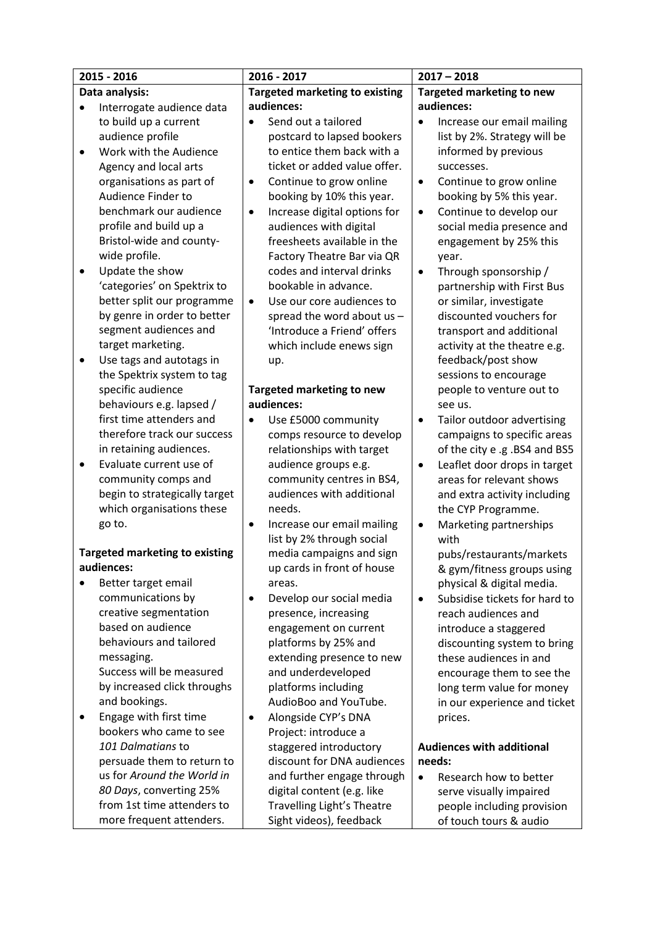|                | 2015 - 2016                                |                                       | 2016 - 2017                                  | $2017 - 2018$                    |                                  |
|----------------|--------------------------------------------|---------------------------------------|----------------------------------------------|----------------------------------|----------------------------------|
| Data analysis: |                                            | <b>Targeted marketing to existing</b> |                                              | <b>Targeted marketing to new</b> |                                  |
|                | Interrogate audience data                  |                                       | audiences:                                   |                                  | audiences:                       |
|                | to build up a current                      |                                       | Send out a tailored                          |                                  | Increase our email mailing       |
|                | audience profile                           |                                       | postcard to lapsed bookers                   |                                  | list by 2%. Strategy will be     |
| $\bullet$      | Work with the Audience                     |                                       | to entice them back with a                   |                                  | informed by previous             |
|                | Agency and local arts                      |                                       | ticket or added value offer.                 |                                  | successes.                       |
|                | organisations as part of                   | ٠                                     | Continue to grow online                      | $\bullet$                        | Continue to grow online          |
|                | Audience Finder to                         |                                       | booking by 10% this year.                    |                                  | booking by 5% this year.         |
|                | benchmark our audience                     | $\bullet$                             | Increase digital options for                 | $\bullet$                        | Continue to develop our          |
|                | profile and build up a                     |                                       | audiences with digital                       |                                  | social media presence and        |
|                | Bristol-wide and county-                   |                                       | freesheets available in the                  |                                  | engagement by 25% this           |
|                | wide profile.                              |                                       | Factory Theatre Bar via QR                   |                                  | year.                            |
|                | Update the show                            |                                       | codes and interval drinks                    | $\bullet$                        | Through sponsorship /            |
|                | 'categories' on Spektrix to                |                                       | bookable in advance.                         |                                  | partnership with First Bus       |
|                | better split our programme                 | $\bullet$                             | Use our core audiences to                    |                                  | or similar, investigate          |
|                | by genre in order to better                |                                       | spread the word about us -                   |                                  | discounted vouchers for          |
|                | segment audiences and                      |                                       | 'Introduce a Friend' offers                  |                                  | transport and additional         |
|                | target marketing.                          |                                       | which include enews sign                     |                                  | activity at the theatre e.g.     |
|                | Use tags and autotags in                   |                                       | up.                                          |                                  | feedback/post show               |
|                | the Spektrix system to tag                 |                                       |                                              |                                  | sessions to encourage            |
|                | specific audience                          |                                       | Targeted marketing to new                    |                                  | people to venture out to         |
|                | behaviours e.g. lapsed /                   |                                       | audiences:                                   |                                  | see us.                          |
|                | first time attenders and                   | $\bullet$                             | Use £5000 community                          | $\bullet$                        | Tailor outdoor advertising       |
|                | therefore track our success                |                                       | comps resource to develop                    |                                  | campaigns to specific areas      |
|                | in retaining audiences.                    |                                       | relationships with target                    |                                  | of the city e .g .BS4 and BS5    |
| $\bullet$      | Evaluate current use of                    |                                       | audience groups e.g.                         | $\bullet$                        | Leaflet door drops in target     |
|                | community comps and                        |                                       | community centres in BS4,                    |                                  | areas for relevant shows         |
|                | begin to strategically target              |                                       | audiences with additional                    |                                  | and extra activity including     |
|                | which organisations these                  |                                       | needs.                                       |                                  | the CYP Programme.               |
|                | go to.                                     | $\bullet$                             | Increase our email mailing                   | $\bullet$                        | Marketing partnerships           |
|                |                                            |                                       | list by 2% through social                    |                                  | with                             |
|                | <b>Targeted marketing to existing</b>      |                                       | media campaigns and sign                     |                                  | pubs/restaurants/markets         |
|                | audiences:                                 |                                       | up cards in front of house                   |                                  | & gym/fitness groups using       |
|                | Better target email                        |                                       | areas.                                       |                                  | physical & digital media.        |
|                | communications by                          | $\bullet$                             | Develop our social media                     | $\bullet$                        | Subsidise tickets for hard to    |
|                | creative segmentation<br>based on audience |                                       | presence, increasing                         |                                  | reach audiences and              |
|                | behaviours and tailored                    |                                       | engagement on current                        |                                  | introduce a staggered            |
|                |                                            |                                       | platforms by 25% and                         |                                  | discounting system to bring      |
|                | messaging.<br>Success will be measured     |                                       | extending presence to new                    |                                  | these audiences in and           |
|                | by increased click throughs                |                                       | and underdeveloped                           |                                  | encourage them to see the        |
|                | and bookings.                              |                                       | platforms including<br>AudioBoo and YouTube. |                                  | long term value for money        |
| ٠              | Engage with first time                     |                                       | Alongside CYP's DNA                          |                                  | in our experience and ticket     |
|                | bookers who came to see                    | $\bullet$                             | Project: introduce a                         |                                  | prices.                          |
|                | 101 Dalmatians to                          |                                       | staggered introductory                       |                                  | <b>Audiences with additional</b> |
|                | persuade them to return to                 |                                       | discount for DNA audiences                   |                                  | needs:                           |
|                | us for Around the World in                 |                                       | and further engage through                   | $\bullet$                        | Research how to better           |
|                | 80 Days, converting 25%                    |                                       | digital content (e.g. like                   |                                  | serve visually impaired          |
|                | from 1st time attenders to                 |                                       | Travelling Light's Theatre                   |                                  | people including provision       |
|                | more frequent attenders.                   |                                       | Sight videos), feedback                      |                                  | of touch tours & audio           |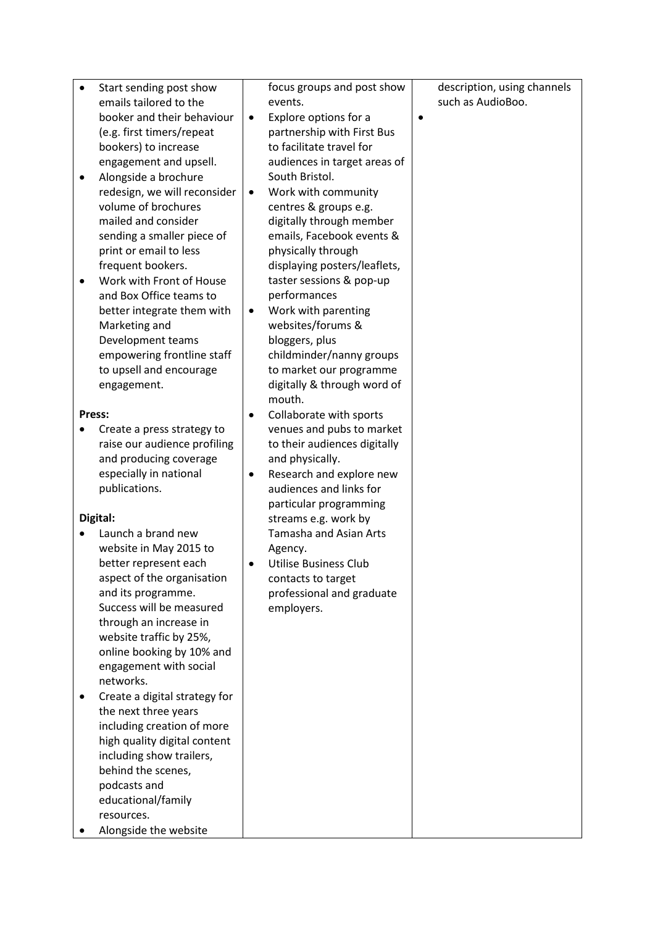| $\bullet$ | Start sending post show       |           | focus groups and post show    |           | description, using channels |
|-----------|-------------------------------|-----------|-------------------------------|-----------|-----------------------------|
|           | emails tailored to the        |           | events.                       |           | such as AudioBoo.           |
|           | booker and their behaviour    | ٠         | Explore options for a         | $\bullet$ |                             |
|           | (e.g. first timers/repeat     |           | partnership with First Bus    |           |                             |
|           | bookers) to increase          |           | to facilitate travel for      |           |                             |
|           | engagement and upsell.        |           | audiences in target areas of  |           |                             |
|           | Alongside a brochure          |           | South Bristol.                |           |                             |
|           | redesign, we will reconsider  | ٠         | Work with community           |           |                             |
|           | volume of brochures           |           | centres & groups e.g.         |           |                             |
|           | mailed and consider           |           | digitally through member      |           |                             |
|           | sending a smaller piece of    |           |                               |           |                             |
|           |                               |           | emails, Facebook events &     |           |                             |
|           | print or email to less        |           | physically through            |           |                             |
|           | frequent bookers.             |           | displaying posters/leaflets,  |           |                             |
|           | Work with Front of House      |           | taster sessions & pop-up      |           |                             |
|           | and Box Office teams to       |           | performances                  |           |                             |
|           | better integrate them with    | ٠         | Work with parenting           |           |                             |
|           | Marketing and                 |           | websites/forums &             |           |                             |
|           | Development teams             |           | bloggers, plus                |           |                             |
|           | empowering frontline staff    |           | childminder/nanny groups      |           |                             |
|           | to upsell and encourage       |           | to market our programme       |           |                             |
|           | engagement.                   |           | digitally & through word of   |           |                             |
|           |                               |           | mouth.                        |           |                             |
| Press:    |                               |           | Collaborate with sports       |           |                             |
|           | Create a press strategy to    |           | venues and pubs to market     |           |                             |
|           | raise our audience profiling  |           | to their audiences digitally  |           |                             |
|           | and producing coverage        |           | and physically.               |           |                             |
|           | especially in national        |           | Research and explore new      |           |                             |
|           | publications.                 |           | audiences and links for       |           |                             |
|           |                               |           | particular programming        |           |                             |
| Digital:  |                               |           | streams e.g. work by          |           |                             |
|           | Launch a brand new            |           | <b>Tamasha and Asian Arts</b> |           |                             |
|           | website in May 2015 to        |           | Agency.                       |           |                             |
|           | better represent each         | $\bullet$ | <b>Utilise Business Club</b>  |           |                             |
|           | aspect of the organisation    |           | contacts to target            |           |                             |
|           | and its programme.            |           | professional and graduate     |           |                             |
|           | Success will be measured      |           | employers.                    |           |                             |
|           | through an increase in        |           |                               |           |                             |
|           | website traffic by 25%,       |           |                               |           |                             |
|           | online booking by 10% and     |           |                               |           |                             |
|           | engagement with social        |           |                               |           |                             |
|           | networks.                     |           |                               |           |                             |
|           | Create a digital strategy for |           |                               |           |                             |
|           | the next three years          |           |                               |           |                             |
|           | including creation of more    |           |                               |           |                             |
|           | high quality digital content  |           |                               |           |                             |
|           | including show trailers,      |           |                               |           |                             |
|           | behind the scenes,            |           |                               |           |                             |
|           | podcasts and                  |           |                               |           |                             |
|           | educational/family            |           |                               |           |                             |
|           | resources.                    |           |                               |           |                             |
|           | Alongside the website         |           |                               |           |                             |
|           |                               |           |                               |           |                             |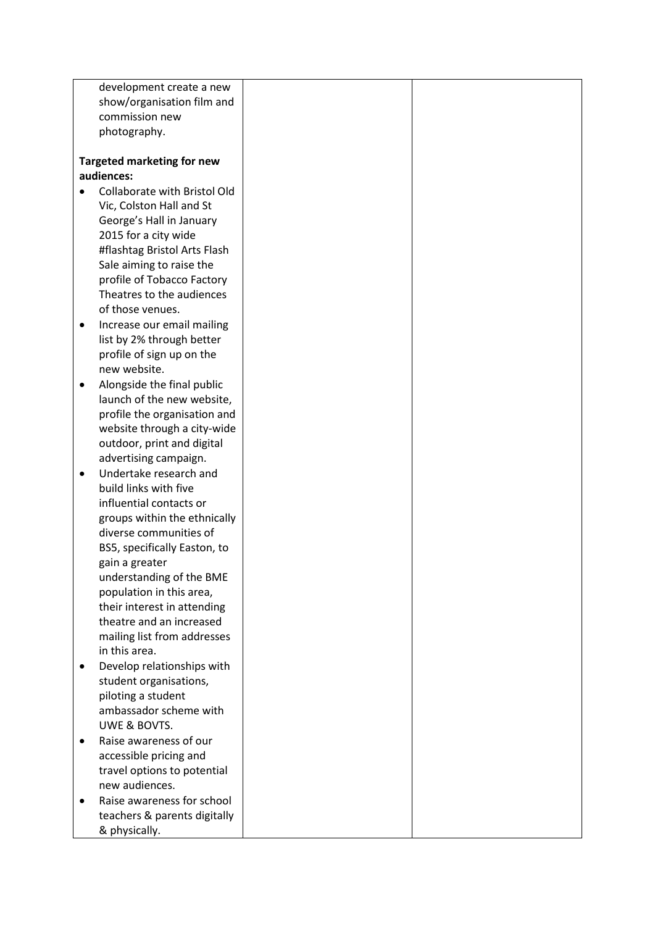| development create a new                   |  |
|--------------------------------------------|--|
| show/organisation film and                 |  |
| commission new                             |  |
| photography.                               |  |
|                                            |  |
| <b>Targeted marketing for new</b>          |  |
| audiences:                                 |  |
| Collaborate with Bristol Old               |  |
| Vic, Colston Hall and St                   |  |
| George's Hall in January                   |  |
| 2015 for a city wide                       |  |
| #flashtag Bristol Arts Flash               |  |
| Sale aiming to raise the                   |  |
| profile of Tobacco Factory                 |  |
| Theatres to the audiences                  |  |
| of those venues.                           |  |
| Increase our email mailing<br>$\bullet$    |  |
| list by 2% through better                  |  |
| profile of sign up on the                  |  |
| new website.                               |  |
| Alongside the final public<br>$\bullet$    |  |
| launch of the new website,                 |  |
| profile the organisation and               |  |
| website through a city-wide                |  |
| outdoor, print and digital                 |  |
| advertising campaign.                      |  |
| Undertake research and<br>$\bullet$        |  |
| build links with five                      |  |
| influential contacts or                    |  |
| groups within the ethnically               |  |
| diverse communities of                     |  |
| BS5, specifically Easton, to               |  |
| gain a greater<br>understanding of the BME |  |
| population in this area,                   |  |
| their interest in attending                |  |
| theatre and an increased                   |  |
| mailing list from addresses                |  |
| in this area.                              |  |
| Develop relationships with                 |  |
| student organisations,                     |  |
| piloting a student                         |  |
| ambassador scheme with                     |  |
| UWE & BOVTS.                               |  |
| Raise awareness of our<br>$\bullet$        |  |
| accessible pricing and                     |  |
| travel options to potential                |  |
| new audiences.                             |  |
| Raise awareness for school<br>$\bullet$    |  |
| teachers & parents digitally               |  |
| & physically.                              |  |